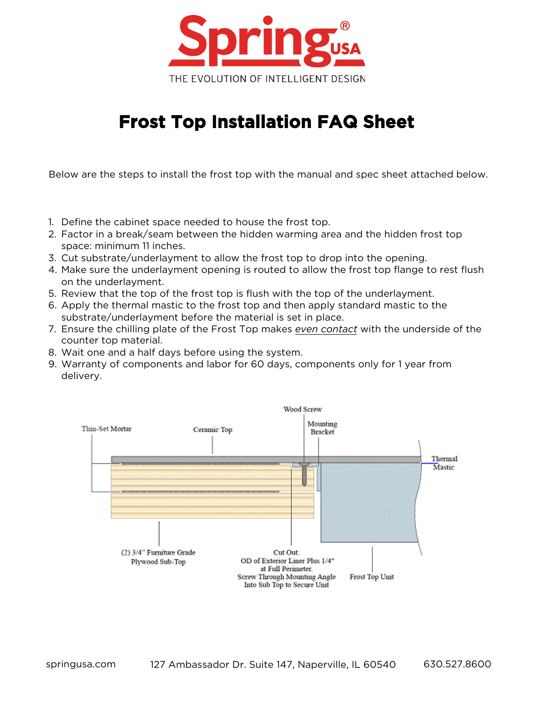

## **Frost Top Installation FAQ Sheet**

Below are the steps to install the frost top with the manual and spec sheet attached below.

- 1. Define the cabinet space needed to house the frost top.
- 2. Factor in a break/seam between the hidden warming area and the hidden frost top space: minimum 11 inches.
- 3. Cut substrate/underlayment to allow the frost top to drop into the opening.
- 4. Make sure the underlayment opening is routed to allow the frost top flange to rest flush on the underlayment.
- 5. Review that the top of the frost top is flush with the top of the underlayment.
- 6. Apply the thermal mastic to the frost top and then apply standard mastic to the substrate/underlayment before the material is set in place.
- 7. Ensure the chilling plate of the Frost Top makes *even contact* with the underside of the counter top material.
- 8. Wait one and a half days before using the system.
- 9. Warranty of components and labor for 60 days, components only for 1 year from delivery.